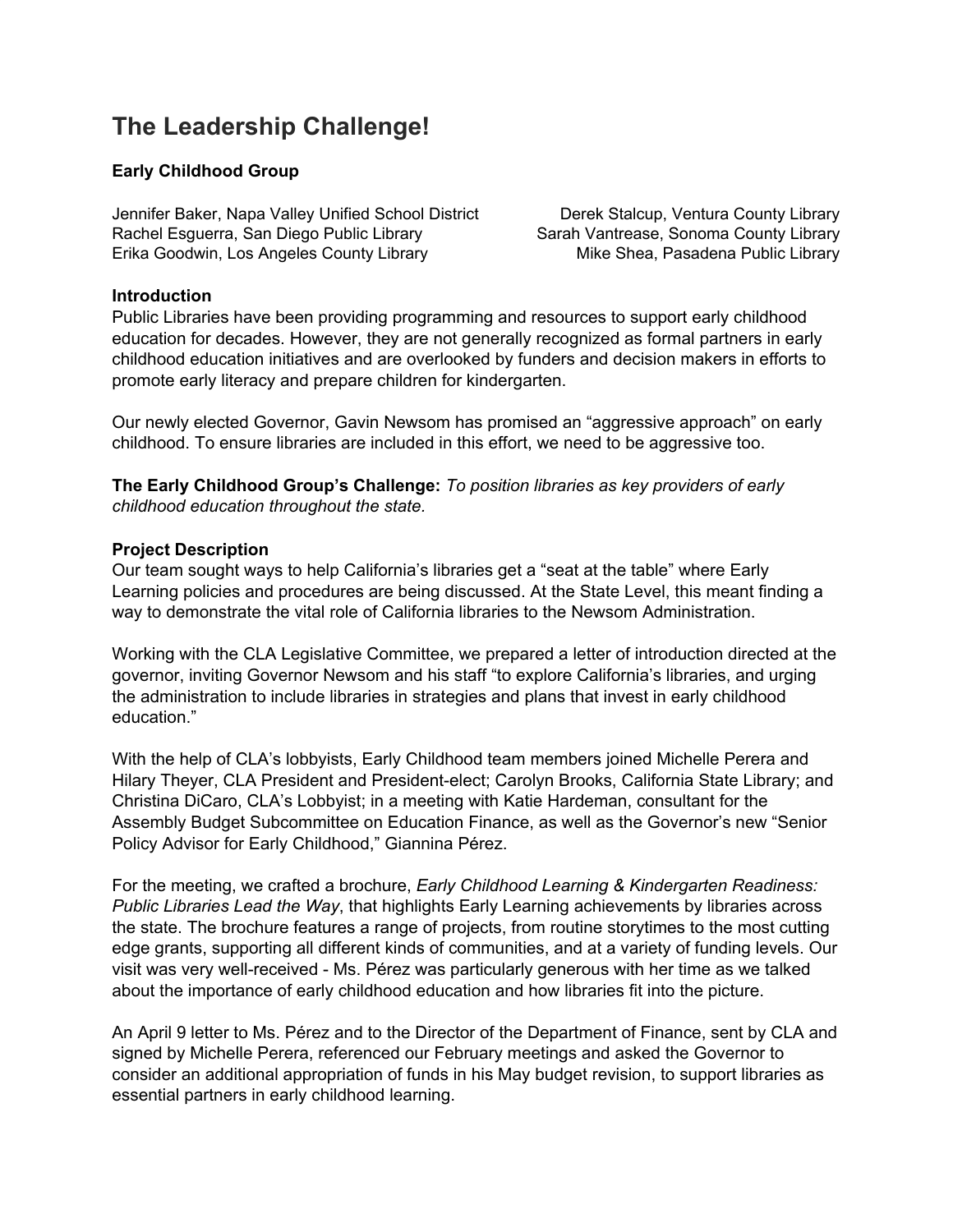# **The Leadership Challenge!**

## **Early Childhood Group**

Jennifer Baker, Napa Valley Unified School District Derek Stalcup, Ventura County Library Rachel Esquerra, San Diego Public Library Sarah Vantrease, Sonoma County Library Erika Goodwin, Los Angeles County Library Mike Shea, Pasadena Public Library

### **Introduction**

Public Libraries have been providing programming and resources to support early childhood education for decades. However, they are not generally recognized as formal partners in early childhood education initiatives and are overlooked by funders and decision makers in efforts to promote early literacy and prepare children for kindergarten.

Our newly elected Governor, Gavin Newsom has promised an "aggressive approach" on early childhood. To ensure libraries are included in this effort, we need to be aggressive too.

**The Early Childhood Group's Challenge:** *To position libraries as key providers of early childhood education throughout the state.*

## **Project Description**

Our team sought ways to help California's libraries get a "seat at the table" where Early Learning policies and procedures are being discussed. At the State Level, this meant finding a way to demonstrate the vital role of California libraries to the Newsom Administration.

Working with the CLA Legislative Committee, we prepared a letter of introduction directed at the governor, inviting Governor Newsom and his staff "to explore California's libraries, and urging the administration to include libraries in strategies and plans that invest in early childhood education."

With the help of CLA's lobbyists, Early Childhood team members joined Michelle Perera and Hilary Theyer, CLA President and President-elect; Carolyn Brooks, California State Library; and Christina DiCaro, CLA's Lobbyist; in a meeting with Katie Hardeman, consultant for the Assembly Budget Subcommittee on Education Finance, as well as the Governor's new "Senior Policy Advisor for Early Childhood," Giannina Pérez.

For the meeting, we crafted a brochure, *Early Childhood Learning & Kindergarten Readiness: Public Libraries Lead the Way*, that highlights Early Learning achievements by libraries across the state. The brochure features a range of projects, from routine storytimes to the most cutting edge grants, supporting all different kinds of communities, and at a variety of funding levels. Our visit was very well-received - Ms. Pérez was particularly generous with her time as we talked about the importance of early childhood education and how libraries fit into the picture.

An April 9 letter to Ms. Pérez and to the Director of the Department of Finance, sent by CLA and signed by Michelle Perera, referenced our February meetings and asked the Governor to consider an additional appropriation of funds in his May budget revision, to support libraries as essential partners in early childhood learning.